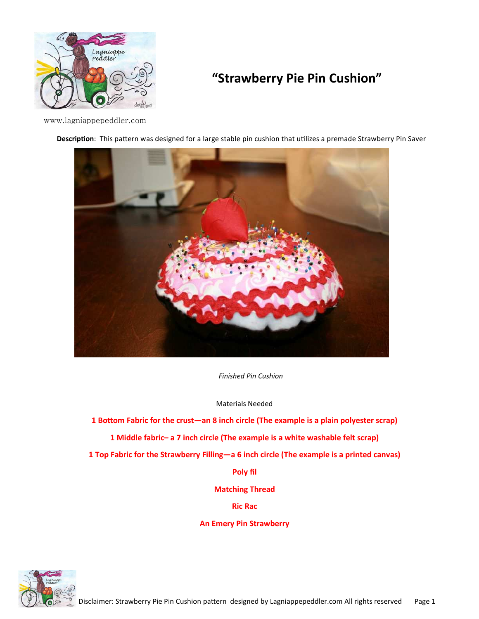

## **"Strawberry Pie Pin Cushion"**

www.lagniappepeddler.com





*Finished Pin Cushion* 

Materials Needed

1 Bottom Fabric for the crust—an 8 inch circle (The example is a plain polyester scrap)

**1 Middle fabric– a 7 inch circle (The example is a white washable felt scrap)** 

**1 Top Fabric for the Strawberry Filling—a 6 inch circle (The example is a printed canvas)** 

**Poly fil** 

**Matching Thread** 

**Ric Rac** 

**An Emery Pin Strawberry** 

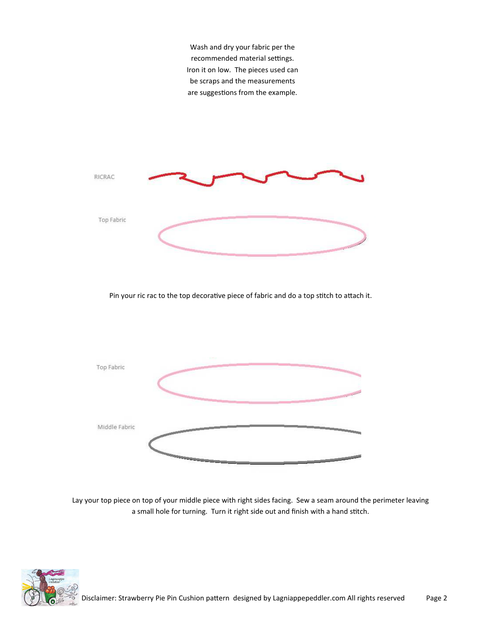Wash and dry your fabric per the recommended material settings. Iron it on low. The pieces used can be scraps and the measurements are suggestions from the example.



Pin your ric rac to the top decorative piece of fabric and do a top stitch to attach it.



Lay your top piece on top of your middle piece with right sides facing. Sew a seam around the perimeter leaving a small hole for turning. Turn it right side out and finish with a hand stitch.